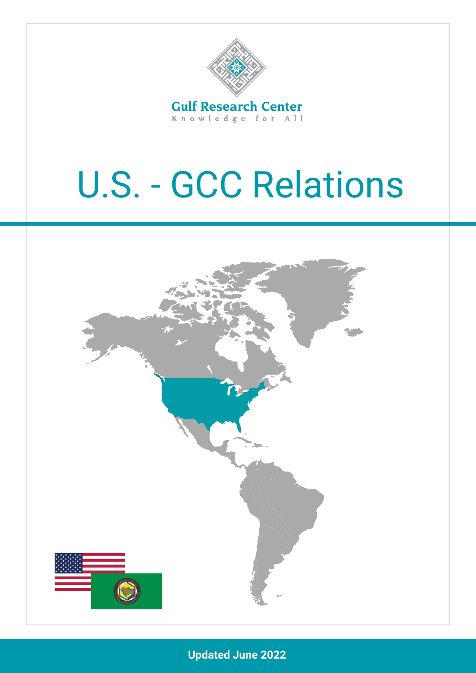

Knowledge for All

# U.S. - GCC Relations



**Updated June 2022**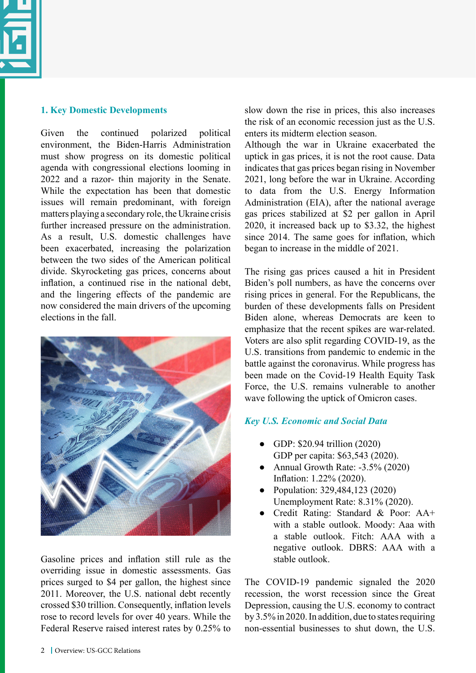

#### **1. Key Domestic Developments**

Given the continued polarized political environment, the Biden-Harris Administration must show progress on its domestic political agenda with congressional elections looming in 2022 and a razor- thin majority in the Senate. While the expectation has been that domestic issues will remain predominant, with foreign matters playing a secondary role, the Ukraine crisis further increased pressure on the administration. As a result, U.S. domestic challenges have been exacerbated, increasing the polarization between the two sides of the American political divide. Skyrocketing gas prices, concerns about inflation, a continued rise in the national debt, and the lingering effects of the pandemic are now considered the main drivers of the upcoming elections in the fall.



Gasoline prices and inflation still rule as the overriding issue in domestic assessments. Gas prices surged to \$4 per gallon, the highest since 2011. Moreover, the U.S. national debt recently crossed \$30 trillion. Consequently, inflation levels rose to record levels for over 40 years. While the Federal Reserve raised interest rates by 0.25% to

slow down the rise in prices, this also increases the risk of an economic recession just as the U.S. enters its midterm election season.

Although the war in Ukraine exacerbated the uptick in gas prices, it is not the root cause. Data indicates that gas prices began rising in November 2021, long before the war in Ukraine. According to data from the U.S. Energy Information Administration (EIA), after the national average gas prices stabilized at \$2 per gallon in April 2020, it increased back up to \$3.32, the highest since 2014. The same goes for inflation, which began to increase in the middle of 2021.

The rising gas prices caused a hit in President Biden's poll numbers, as have the concerns over rising prices in general. For the Republicans, the burden of these developments falls on President Biden alone, whereas Democrats are keen to emphasize that the recent spikes are war-related. Voters are also split regarding COVID-19, as the U.S. transitions from pandemic to endemic in the battle against the coronavirus. While progress has been made on the Covid-19 Health Equity Task Force, the U.S. remains vulnerable to another wave following the uptick of Omicron cases.

# *Key U.S. Economic and Social Data*

- GDP: \$20.94 trillion (2020) GDP per capita: \$63,543 (2020).
- Annual Growth Rate:  $-3.5\%$  (2020) Inflation: 1.22% (2020).
- Population: 329,484,123 (2020) Unemployment Rate: 8.31% (2020).
- Credit Rating: Standard & Poor: AA+ with a stable outlook. Moody: Aaa with a stable outlook. Fitch: AAA with a negative outlook. DBRS: AAA with a stable outlook.

The COVID-19 pandemic signaled the 2020 recession, the worst recession since the Great Depression, causing the U.S. economy to contract by 3.5% in 2020. In addition, due to states requiring non-essential businesses to shut down, the U.S.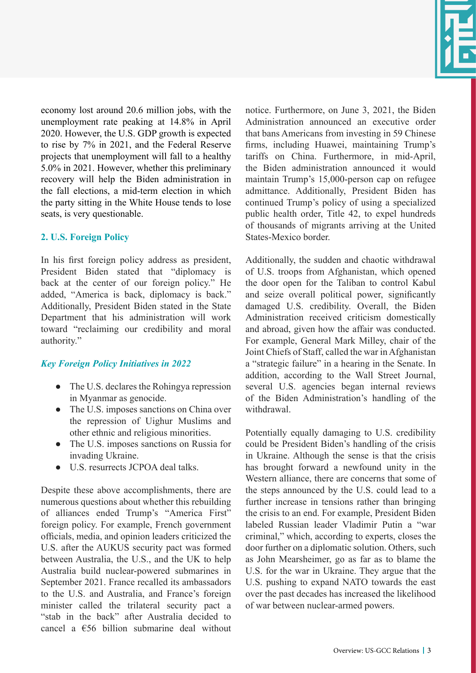

economy lost around 20.6 million jobs, with the unemployment rate peaking at 14.8% in April 2020. However, the U.S. GDP growth is expected to rise by 7% in 2021, and the Federal Reserve projects that unemployment will fall to a healthy 5.0% in 2021. However, whether this preliminary recovery will help the Biden administration in the fall elections, a mid-term election in which the party sitting in the White House tends to lose seats, is very questionable.

## **2. U.S. Foreign Policy**

In his first foreign policy address as president, President Biden stated that "diplomacy is back at the center of our foreign policy." He added, "America is back, diplomacy is back." Additionally, President Biden stated in the State Department that his administration will work toward "reclaiming our credibility and moral authority."

# *Key Foreign Policy Initiatives in 2022*

- The U.S. declares the Rohingya repression in Myanmar as genocide.
- The U.S. imposes sanctions on China over the repression of Uighur Muslims and other ethnic and religious minorities.
- The U.S. imposes sanctions on Russia for invading Ukraine.
- U.S. resurrects JCPOA deal talks.

Despite these above accomplishments, there are numerous questions about whether this rebuilding of alliances ended Trump's "America First" foreign policy. For example, French government officials, media, and opinion leaders criticized the U.S. after the AUKUS security pact was formed between Australia, the U.S., and the UK to help Australia build nuclear-powered submarines in September 2021. France recalled its ambassadors to the U.S. and Australia, and France's foreign minister called the trilateral security pact a "stab in the back" after Australia decided to cancel a  $€56$  billion submarine deal without notice. Furthermore, on June 3, 2021, the Biden Administration announced an executive order that bans Americans from investing in 59 Chinese firms, including Huawei, maintaining Trump's tariffs on China. Furthermore, in mid-April, the Biden administration announced it would maintain Trump's 15,000-person cap on refugee admittance. Additionally, President Biden has continued Trump's policy of using a specialized public health order, Title 42, to expel hundreds of thousands of migrants arriving at the United States-Mexico border.

Additionally, the sudden and chaotic withdrawal of U.S. troops from Afghanistan, which opened the door open for the Taliban to control Kabul and seize overall political power, significantly damaged U.S. credibility. Overall, the Biden Administration received criticism domestically and abroad, given how the affair was conducted. For example, General Mark Milley, chair of the Joint Chiefs of Staff, called the war in Afghanistan a "strategic failure" in a hearing in the Senate. In addition, according to the Wall Street Journal, several U.S. agencies began internal reviews of the Biden Administration's handling of the withdrawal.

Potentially equally damaging to U.S. credibility could be President Biden's handling of the crisis in Ukraine. Although the sense is that the crisis has brought forward a newfound unity in the Western alliance, there are concerns that some of the steps announced by the U.S. could lead to a further increase in tensions rather than bringing the crisis to an end. For example, President Biden labeled Russian leader Vladimir Putin a "war criminal," which, according to experts, closes the door further on a diplomatic solution. Others, such as John Mearsheimer, go as far as to blame the U.S. for the war in Ukraine. They argue that the U.S. pushing to expand NATO towards the east over the past decades has increased the likelihood of war between nuclear-armed powers.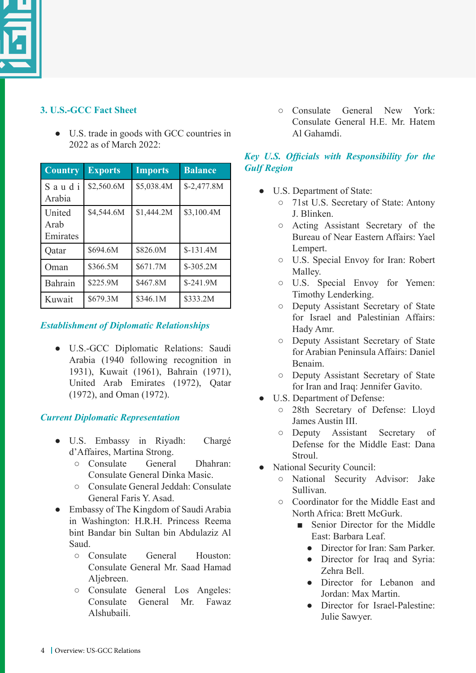

# **3. U.S.-GCC Fact Sheet**

● U.S. trade in goods with GCC countries in 2022 as of March 2022:

| <b>Country</b>                    | <b>Exports</b> | <b>Imports</b> | <b>Balance</b> |
|-----------------------------------|----------------|----------------|----------------|
| Saudi<br>Arabia                   | \$2,560.6M     | \$5,038.4M     | $$-2,477.8M$   |
| <b>United</b><br>Arab<br>Emirates | \$4,544.6M     | \$1,444.2M     | \$3,100.4M     |
| Qatar                             | \$694.6M       | \$826.0M       | $$-131.4M$     |
| Oman                              | \$366.5M       | \$671.7M       | $$-305.2M$     |
| Bahrain                           | \$225.9M       | \$467.8M       | \$-241.9M      |
| Kuwait                            | \$679.3M       | \$346.1M       | \$333.2M       |

# *Establishment of Diplomatic Relationships*

● U.S.-GCC Diplomatic Relations: Saudi Arabia (1940 following recognition in 1931), Kuwait (1961), Bahrain (1971), United Arab Emirates (1972), Qatar (1972), and Oman (1972).

# *Current Diplomatic Representation*

- U.S. Embassy in Riyadh: Chargé d'Affaires, Martina Strong.
	- Consulate General Dhahran: Consulate General Dinka Masic.
	- Consulate General Jeddah: Consulate General Faris Y. Asad.
- Embassy of The Kingdom of Saudi Arabia in Washington: H.R.H. Princess Reema bint Bandar bin Sultan bin Abdulaziz Al Saud.
	- Consulate General Houston: Consulate General Mr. Saad Hamad Aljebreen.
	- Consulate General Los Angeles: Consulate General Mr. Fawaz Alshubaili.

○ Consulate General New York: Consulate General H.E. Mr. Hatem Al Gahamdi.

# *Key U.S. Officials with Responsibility for the Gulf Region*

- U.S. Department of State:
	- 71st U.S. Secretary of State: Antony J. Blinken.
	- Acting Assistant Secretary of the Bureau of Near Eastern Affairs: Yael Lempert.
	- U.S. Special Envoy for Iran: Robert Malley.
	- U.S. Special Envoy for Yemen: Timothy Lenderking.
	- Deputy Assistant Secretary of State for Israel and Palestinian Affairs: Hady Amr.
	- Deputy Assistant Secretary of State for Arabian Peninsula Affairs: Daniel Benaim.
	- Deputy Assistant Secretary of State for Iran and Iraq: Jennifer Gavito.
- U.S. Department of Defense:
	- 28th Secretary of Defense: Lloyd James Austin III.
	- Deputy Assistant Secretary of Defense for the Middle East: Dana **Stroul**
- National Security Council:
	- National Security Advisor: Jake Sullivan.
	- Coordinator for the Middle East and North Africa: Brett McGurk.
		- Senior Director for the Middle East: Barbara Leaf.
			- Director for Iran: Sam Parker
			- Director for Iraq and Syria: Zehra Bell.
			- Director for Lebanon and Jordan: Max Martin.
			- Director for Israel-Palestine: Julie Sawyer.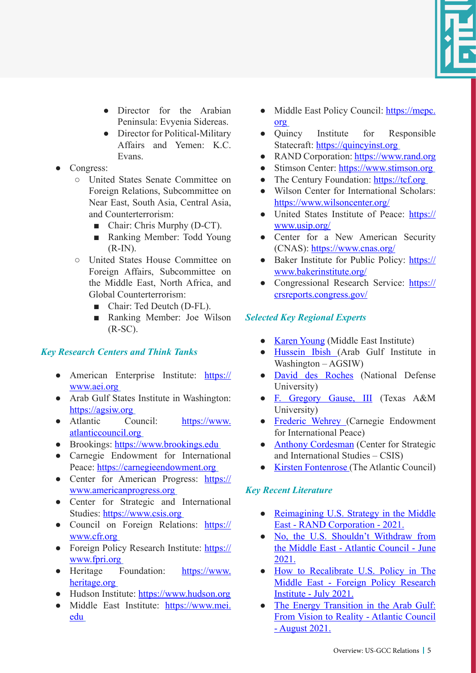

- Director for the Arabian Peninsula: Evyenia Sidereas.
- Director for Political-Military Affairs and Yemen: K.C. Evans.
- Congress:
	- United States Senate Committee on Foreign Relations, Subcommittee on Near East, South Asia, Central Asia, and Counterterrorism:
		- Chair: Chris Murphy (D-CT).
		- Ranking Member: Todd Young  $(R-IN).$
	- United States House Committee on Foreign Affairs, Subcommittee on the Middle East, North Africa, and Global Counterterrorism:
		- Chair: Ted Deutch (D-FL).
		- Ranking Member: Joe Wilson (R-SC).

# *Key Research Centers and Think Tanks*

- American Enterprise Institute: [https://](https://www.aei.org) [www.aei.org](https://www.aei.org)
- Arab Gulf States Institute in Washington: <https://agsiw.org>
- Atlantic Council: [https://www.](https://www.atlanticcouncil.org) [atlanticcouncil.org](https://www.atlanticcouncil.org)
- Brookings:<https://www.brookings.edu>
- Carnegie Endowment for International Peace:<https://carnegieendowment.org>
- Center for American Progress: [https://](https://www.americanprogress.org) [www.americanprogress.org](https://www.americanprogress.org)
- Center for Strategic and International Studies: <https://www.csis.org>
- Council on Foreign Relations: [https://](https://www.cfr.org) [www.cfr.org](https://www.cfr.org)
- Foreign Policy Research Institute: [https://](https://www.fpri.org) [www.fpri.org](https://www.fpri.org)
- Heritage Foundation: [https://www.](https://www.heritage.org) [heritage.org](https://www.heritage.org)
- Hudson Institute:<https://www.hudson.org>
- Middle East Institute: [https://www.mei.](https://www.mei.edu) [edu](https://www.mei.edu)
- Middle East Policy Council: [https://mepc.](https://mepc.org) [org](https://mepc.org)
- Quincy Institute for Responsible Statecraft:<https://quincyinst.org>
- RAND Corporation:<https://www.rand.org>
- Stimson Center: <https://www.stimson.org>
- The Century Foundation:<https://tcf.org>
- Wilson Center for International Scholars: <https://www.wilsoncenter.org/>
- United States Institute of Peace: [https://](https://www.usip.org/) [www.usip.org/](https://www.usip.org/)
- Center for a New American Security (CNAS):<https://www.cnas.org/>
- Baker Institute for Public Policy: [https://](https://www.bakerinstitute.org/) [www.bakerinstitute.org/](https://www.bakerinstitute.org/)
- Congressional Research Service: [https://](https://crsreports.congress.gov/) [crsreports.congress.gov/](https://crsreports.congress.gov/)

# *Selected Key Regional Experts*

- [Karen](https://www.mei.edu/profile/karen-e-young) Young (Middle East Institute)
- [Hussein](https://agsiw.org/associates/hussein-ibish/) Ibish (Arab Gulf Institute in Washington – AGSIW)
- [David des Roches](https://nesa-center.org/faculty/) (National Defense University)
- [F. Gregory Gause, III](https://www.gregorygause.com/) (Texas A&M University)
- [Frederic Wehrey](https://carnegieendowment.org/experts/709) (Carnegie Endowment for International Peace)
- [Anthony Cordesman](https://www.csis.org/people/anthony-h-cordesman) (Center for Strategic and International Studies – CSIS)
- [Kirsten Fontenrose](https://www.atlanticcouncil.org/expert/kirsten-fontenrose/) (The Atlantic Council)

## *Key Recent Literature*

- [Reimagining U.S. Strategy in the Middle](https://www.rand.org/pubs/research_reports/RRA958-1.html) [East - RAND Corporation - 2021.](https://www.rand.org/pubs/research_reports/RRA958-1.html)
- [No, the U.S. Shouldn't Withdraw from](https://www.atlanticcouncil.org/in-depth-research-reports/issue-brief/no-the-us-shouldnt-withdraw-from-the-middle-east/) [the Middle East - Atlantic Council - June](https://www.atlanticcouncil.org/in-depth-research-reports/issue-brief/no-the-us-shouldnt-withdraw-from-the-middle-east/) [2021.](https://www.atlanticcouncil.org/in-depth-research-reports/issue-brief/no-the-us-shouldnt-withdraw-from-the-middle-east/)
- [How to Recalibrate U.S. Policy in The](https://www.fpri.org/wp-content/uploads/2021/07/how-to-recalibrate-us-policy-in-the-middle-east.pdf) [Middle East - Foreign Policy Research](https://www.fpri.org/wp-content/uploads/2021/07/how-to-recalibrate-us-policy-in-the-middle-east.pdf) [Institute - July 2021.](https://www.fpri.org/wp-content/uploads/2021/07/how-to-recalibrate-us-policy-in-the-middle-east.pdf)
- [The Energy Transition in the Arab Gulf:](https://www.atlanticcouncil.org/wp-content/uploads/2021/08/AC_GulfTransitions_FINAL.pdf) [From Vision to Reality - Atlantic Council](https://www.atlanticcouncil.org/wp-content/uploads/2021/08/AC_GulfTransitions_FINAL.pdf) [- August 2021.](https://www.atlanticcouncil.org/wp-content/uploads/2021/08/AC_GulfTransitions_FINAL.pdf)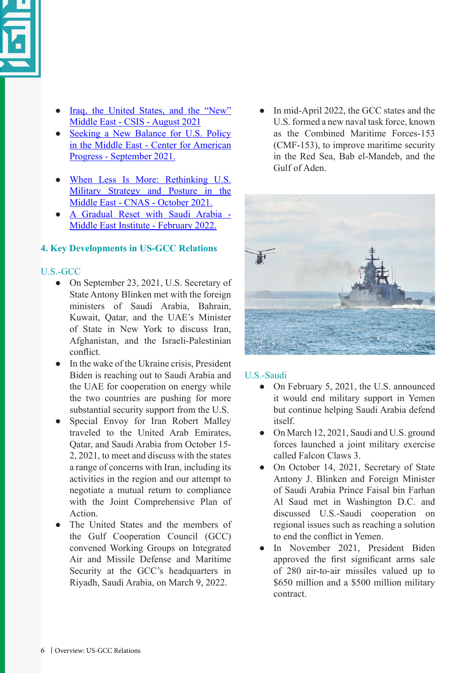

- [Iraq, the United States, and the "New"](https://csis-website-prod.s3.amazonaws.com/s3fs-public/publication/210805_Cordesman_Iraq_New.pdf?267rlRroYKgwGO6waIfnDVTdm3GLh8yA) [Middle East - CSIS - August 2021](https://csis-website-prod.s3.amazonaws.com/s3fs-public/publication/210805_Cordesman_Iraq_New.pdf?267rlRroYKgwGO6waIfnDVTdm3GLh8yA)
- [Seeking a New Balance for U.S. Policy](https://cf.americanprogress.org/wp-content/uploads/2021/09/Seeking-A-New-Balance-for-US-Policy-in-the-Middle-East.pdf?_ga=2.248612679.1369164877.1637046314-1053775861.1634038624) [in the Middle East - Center for American](https://cf.americanprogress.org/wp-content/uploads/2021/09/Seeking-A-New-Balance-for-US-Policy-in-the-Middle-East.pdf?_ga=2.248612679.1369164877.1637046314-1053775861.1634038624) [Progress - September 2021.](https://cf.americanprogress.org/wp-content/uploads/2021/09/Seeking-A-New-Balance-for-US-Policy-in-the-Middle-East.pdf?_ga=2.248612679.1369164877.1637046314-1053775861.1634038624)
- [When Less Is More: Rethinking U.S.](https://s3.us-east-1.amazonaws.com/files.cnas.org/documents/CNAS-Report-Less-is-More-Oct-2021-Final-1.pdf?mtime=20211103172611&focal=none) [Military Strategy and Posture in the](https://s3.us-east-1.amazonaws.com/files.cnas.org/documents/CNAS-Report-Less-is-More-Oct-2021-Final-1.pdf?mtime=20211103172611&focal=none) [Middle East - CNAS - October 2021.](https://s3.us-east-1.amazonaws.com/files.cnas.org/documents/CNAS-Report-Less-is-More-Oct-2021-Final-1.pdf?mtime=20211103172611&focal=none)
- [A Gradual Reset with Saudi Arabia -](https://www.mei.edu/publications/gradual-reset-saudi-arabia) [Middle East Institute - February 2022.](https://www.mei.edu/publications/gradual-reset-saudi-arabia)

## **4. Key Developments in US-GCC Relations**

## U.S.-GCC

- On September 23, 2021, U.S. Secretary of State Antony Blinken met with the foreign ministers of Saudi Arabia, Bahrain, Kuwait, Qatar, and the UAE's Minister of State in New York to discuss Iran, Afghanistan, and the Israeli-Palestinian conflict.
- In the wake of the Ukraine crisis, President Biden is reaching out to Saudi Arabia and the UAE for cooperation on energy while the two countries are pushing for more substantial security support from the U.S.
- Special Envoy for Iran Robert Malley traveled to the United Arab Emirates, Qatar, and Saudi Arabia from October 15- 2, 2021, to meet and discuss with the states a range of concerns with Iran, including its activities in the region and our attempt to negotiate a mutual return to compliance with the Joint Comprehensive Plan of Action.
- The United States and the members of the Gulf Cooperation Council (GCC) convened Working Groups on Integrated Air and Missile Defense and Maritime Security at the GCC's headquarters in Riyadh, Saudi Arabia, on March 9, 2022.

In mid-April 2022, the GCC states and the U.S. formed a new naval task force, known as the Combined Maritime Forces-153 (CMF-153), to improve maritime security in the Red Sea, Bab el-Mandeb, and the Gulf of Aden.



## U.S.-Saudi

- On February 5, 2021, the U.S. announced it would end military support in Yemen but continue helping Saudi Arabia defend itself.
- On March 12, 2021, Saudi and U.S. ground forces launched a joint military exercise called Falcon Claws 3.
- On October 14, 2021, Secretary of State Antony J. Blinken and Foreign Minister of Saudi Arabia Prince Faisal bin Farhan Al Saud met in Washington D.C. and discussed U.S.-Saudi cooperation on regional issues such as reaching a solution to end the conflict in Yemen.
- In November 2021, President Biden approved the first significant arms sale of 280 air-to-air missiles valued up to \$650 million and a \$500 million military contract.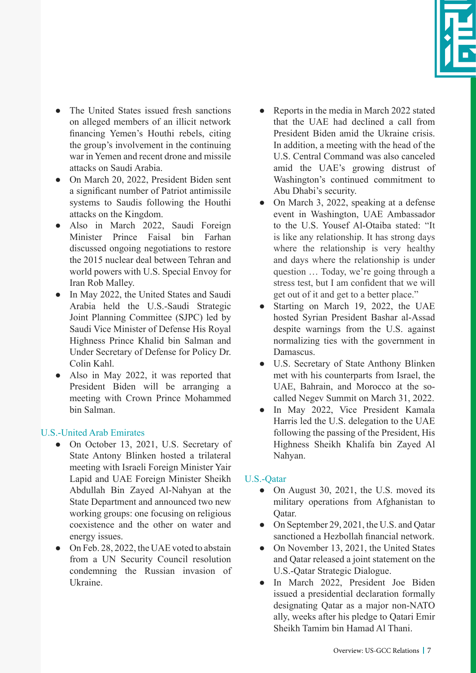

- The United States issued fresh sanctions on alleged members of an illicit network financing Yemen's Houthi rebels, citing the group's involvement in the continuing war in Yemen and recent drone and missile attacks on Saudi Arabia.
- On March 20, 2022, President Biden sent a significant number of Patriot antimissile systems to Saudis following the Houthi attacks on the Kingdom.
- Also in March 2022, Saudi Foreign Minister Prince Faisal bin Farhan discussed ongoing negotiations to restore the 2015 nuclear deal between Tehran and world powers with U.S. Special Envoy for Iran Rob Malley.
- In May 2022, the United States and Saudi Arabia held the U.S.-Saudi Strategic Joint Planning Committee (SJPC) led by Saudi Vice Minister of Defense His Royal Highness Prince Khalid bin Salman and Under Secretary of Defense for Policy Dr. Colin Kahl.
- Also in May 2022, it was reported that President Biden will be arranging a meeting with Crown Prince Mohammed bin Salman.

## U.S.-United Arab Emirates

- On October 13, 2021, U.S. Secretary of State Antony Blinken hosted a trilateral meeting with Israeli Foreign Minister Yair Lapid and UAE Foreign Minister Sheikh Abdullah Bin Zayed Al-Nahyan at the State Department and announced two new working groups: one focusing on religious coexistence and the other on water and energy issues.
- On Feb. 28, 2022, the UAE voted to abstain from a UN Security Council resolution condemning the Russian invasion of Ukraine.
- Reports in the media in March 2022 stated that the UAE had declined a call from President Biden amid the Ukraine crisis. In addition, a meeting with the head of the U.S. Central Command was also canceled amid the UAE's growing distrust of Washington's continued commitment to Abu Dhabi's security.
- On March 3, 2022, speaking at a defense event in Washington, UAE Ambassador to the U.S. Yousef Al-Otaiba stated: "It is like any relationship. It has strong days where the relationship is very healthy and days where the relationship is under question … Today, we're going through a stress test, but I am confident that we will get out of it and get to a better place."
- Starting on March 19, 2022, the UAE hosted Syrian President Bashar al-Assad despite warnings from the U.S. against normalizing ties with the government in Damascus.
- U.S. Secretary of State Anthony Blinken met with his counterparts from Israel, the UAE, Bahrain, and Morocco at the socalled Negev Summit on March 31, 2022.
- In May 2022, Vice President Kamala Harris led the U.S. delegation to the UAE following the passing of the President, His Highness Sheikh Khalifa bin Zayed Al Nahyan.

# U.S.-Qatar

- On August 30, 2021, the U.S. moved its military operations from Afghanistan to Qatar.
- On September 29, 2021, the U.S. and Qatar sanctioned a Hezbollah financial network.
- On November 13, 2021, the United States and Qatar released a joint statement on the U.S.-Qatar Strategic Dialogue.
- In March 2022, President Joe Biden issued a presidential declaration formally designating Qatar as a major non-NATO ally, weeks after his pledge to Qatari Emir Sheikh Tamim bin Hamad Al Thani.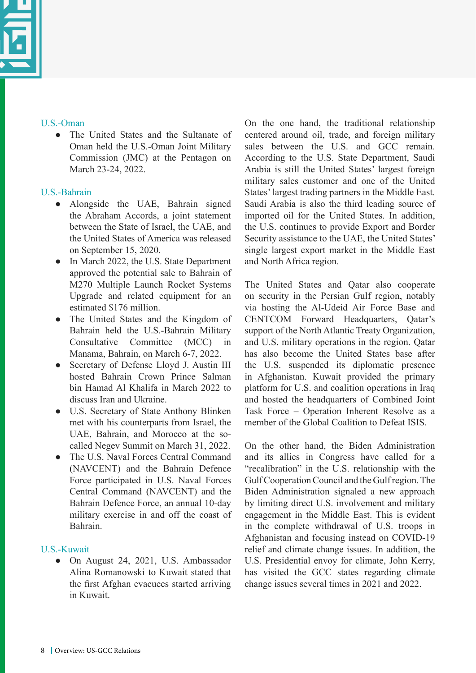## U.S.-Oman

● The United States and the Sultanate of Oman held the U.S.-Oman Joint Military Commission (JMC) at the Pentagon on March 23-24, 2022.

# U.S.-Bahrain

- Alongside the UAE, Bahrain signed the Abraham Accords, a joint statement between the State of Israel, the UAE, and the United States of America was released on September 15, 2020.
- In March 2022, the U.S. State Department approved the potential sale to Bahrain of M270 Multiple Launch Rocket Systems Upgrade and related equipment for an estimated \$176 million.
- The United States and the Kingdom of Bahrain held the U.S.-Bahrain Military Consultative Committee (MCC) in Manama, Bahrain, on March 6-7, 2022.
- Secretary of Defense Lloyd J. Austin III hosted Bahrain Crown Prince Salman bin Hamad Al Khalifa in March 2022 to discuss Iran and Ukraine.
- U.S. Secretary of State Anthony Blinken met with his counterparts from Israel, the UAE, Bahrain, and Morocco at the socalled Negev Summit on March 31, 2022.
- The U.S. Naval Forces Central Command (NAVCENT) and the Bahrain Defence Force participated in U.S. Naval Forces Central Command (NAVCENT) and the Bahrain Defence Force, an annual 10-day military exercise in and off the coast of Bahrain.

# U.S.-Kuwait

● On August 24, 2021, U.S. Ambassador Alina Romanowski to Kuwait stated that the first Afghan evacuees started arriving in Kuwait.

On the one hand, the traditional relationship centered around oil, trade, and foreign military sales between the U.S. and GCC remain. According to the U.S. State Department, Saudi Arabia is still the United States' largest foreign military sales customer and one of the United States' largest trading partners in the Middle East. Saudi Arabia is also the third leading source of imported oil for the United States. In addition, the U.S. continues to provide Export and Border Security assistance to the UAE, the United States' single largest export market in the Middle East and North Africa region.

The United States and Qatar also cooperate on security in the Persian Gulf region, notably via hosting the Al-Udeid Air Force Base and CENTCOM Forward Headquarters, Qatar's support of the North Atlantic Treaty Organization, and U.S. military operations in the region. Qatar has also become the United States base after the U.S. suspended its diplomatic presence in Afghanistan. Kuwait provided the primary platform for U.S. and coalition operations in Iraq and hosted the headquarters of Combined Joint Task Force – Operation Inherent Resolve as a member of the Global Coalition to Defeat ISIS

On the other hand, the Biden Administration and its allies in Congress have called for a "recalibration" in the U.S. relationship with the Gulf Cooperation Council and the Gulf region. The Biden Administration signaled a new approach by limiting direct U.S. involvement and military engagement in the Middle East. This is evident in the complete withdrawal of U.S. troops in Afghanistan and focusing instead on COVID-19 relief and climate change issues. In addition, the U.S. Presidential envoy for climate, John Kerry, has visited the GCC states regarding climate change issues several times in 2021 and 2022.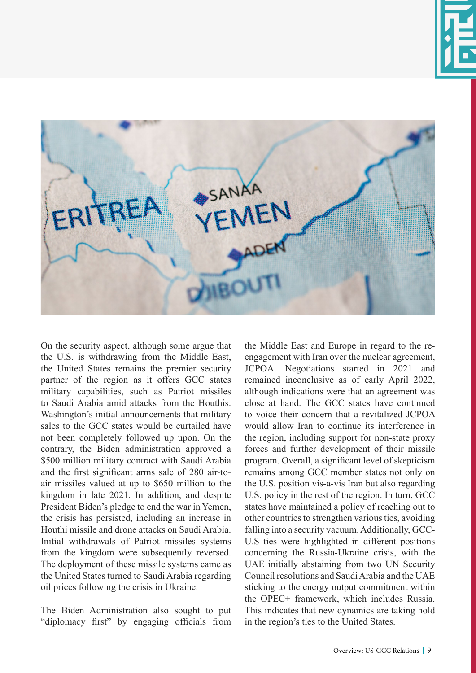



On the security aspect, although some argue that the U.S. is withdrawing from the Middle East, the United States remains the premier security partner of the region as it offers GCC states military capabilities, such as Patriot missiles to Saudi Arabia amid attacks from the Houthis. Washington's initial announcements that military sales to the GCC states would be curtailed have not been completely followed up upon. On the contrary, the Biden administration approved a \$500 million military contract with Saudi Arabia and the first significant arms sale of 280 air-toair missiles valued at up to \$650 million to the kingdom in late 2021. In addition, and despite President Biden's pledge to end the war in Yemen, the crisis has persisted, including an increase in Houthi missile and drone attacks on Saudi Arabia. Initial withdrawals of Patriot missiles systems from the kingdom were subsequently reversed. The deployment of these missile systems came as the United States turned to Saudi Arabia regarding oil prices following the crisis in Ukraine.

The Biden Administration also sought to put "diplomacy first" by engaging officials from

the Middle East and Europe in regard to the reengagement with Iran over the nuclear agreement, JCPOA. Negotiations started in 2021 and remained inconclusive as of early April 2022, although indications were that an agreement was close at hand. The GCC states have continued to voice their concern that a revitalized JCPOA would allow Iran to continue its interference in the region, including support for non-state proxy forces and further development of their missile program. Overall, a significant level of skepticism remains among GCC member states not only on the U.S. position vis-a-vis Iran but also regarding U.S. policy in the rest of the region. In turn, GCC states have maintained a policy of reaching out to other countries to strengthen various ties, avoiding falling into a security vacuum. Additionally, GCC-U.S ties were highlighted in different positions concerning the Russia-Ukraine crisis, with the UAE initially abstaining from two UN Security Council resolutions and Saudi Arabia and the UAE sticking to the energy output commitment within the OPEC+ framework, which includes Russia. This indicates that new dynamics are taking hold in the region's ties to the United States.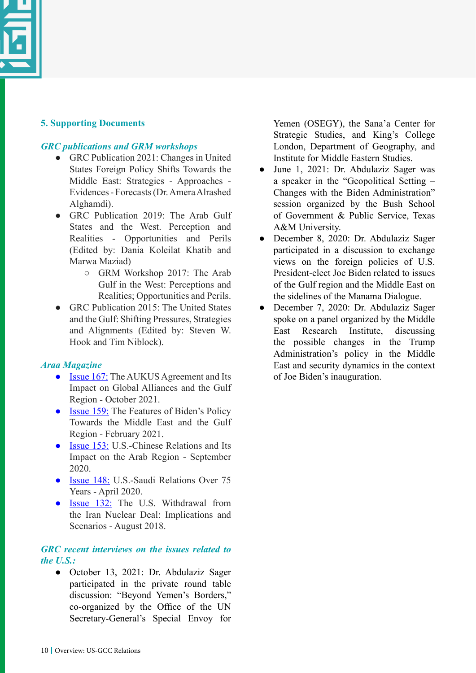

## **5. Supporting Documents**

#### *GRC publications and GRM workshops*

- GRC Publication 2021: Changes in United States Foreign Policy Shifts Towards the Middle East: Strategies - Approaches - Evidences - Forecasts (Dr. Amera Alrashed Alghamdi).
- GRC Publication 2019: The Arab Gulf States and the West. Perception and Realities - Opportunities and Perils (Edited by: Dania Koleilat Khatib and Marwa Maziad)
	- GRM Workshop 2017: The Arab Gulf in the West: Perceptions and Realities; Opportunities and Perils.
- GRC Publication 2015: The United States and the Gulf: Shifting Pressures, Strategies and Alignments (Edited by: Steven W. Hook and Tim Niblock).

## *Araa Magazine*

- [Issue 167:](https://araa.sa/index.php?option=com_content&view=article&id=5853&Itemid=2250) The AUKUS Agreement and Its Impact on Global Alliances and the Gulf Region - October 2021.
- [Issue 159:](https://araa.sa/index.php?option=com_content&view=article&id=5535&Itemid=2231) The Features of Biden's Policy Towards the Middle East and the Gulf Region - February 2021.
- [Issue 153:](https://araa.sa/index.php?option=com_content&view=article&id=5268&Itemid=2211) U.S.-Chinese Relations and Its Impact on the Arab Region - September 2020.
- [Issue 148:](https://araa.sa/index.php?option=com_content&view=article&id=5021&Itemid=2163) U.S.-Saudi Relations Over 75 Years - April 2020.
- [Issue 132:](https://araa.sa/index.php?option=com_content&view=article&id=4698&Itemid=2074) The U.S. Withdrawal from the Iran Nuclear Deal: Implications and Scenarios - August 2018.

#### *GRC recent interviews on the issues related to the U.S.:*

October 13, 2021: Dr. Abdulaziz Sager participated in the private round table discussion: "Beyond Yemen's Borders," co-organized by the Office of the UN Secretary-General's Special Envoy for

Yemen (OSEGY), the Sana'a Center for Strategic Studies, and King's College London, Department of Geography, and Institute for Middle Eastern Studies.

- June 1, 2021: Dr. Abdulaziz Sager was a speaker in the "Geopolitical Setting – Changes with the Biden Administration" session organized by the Bush School of Government & Public Service, Texas A&M University.
- December 8, 2020: Dr. Abdulaziz Sager participated in a discussion to exchange views on the foreign policies of U.S. President-elect Joe Biden related to issues of the Gulf region and the Middle East on the sidelines of the Manama Dialogue.
- December 7, 2020: Dr. Abdulaziz Sager spoke on a panel organized by the Middle East Research Institute, discussing the possible changes in the Trump Administration's policy in the Middle East and security dynamics in the context of Joe Biden's inauguration.